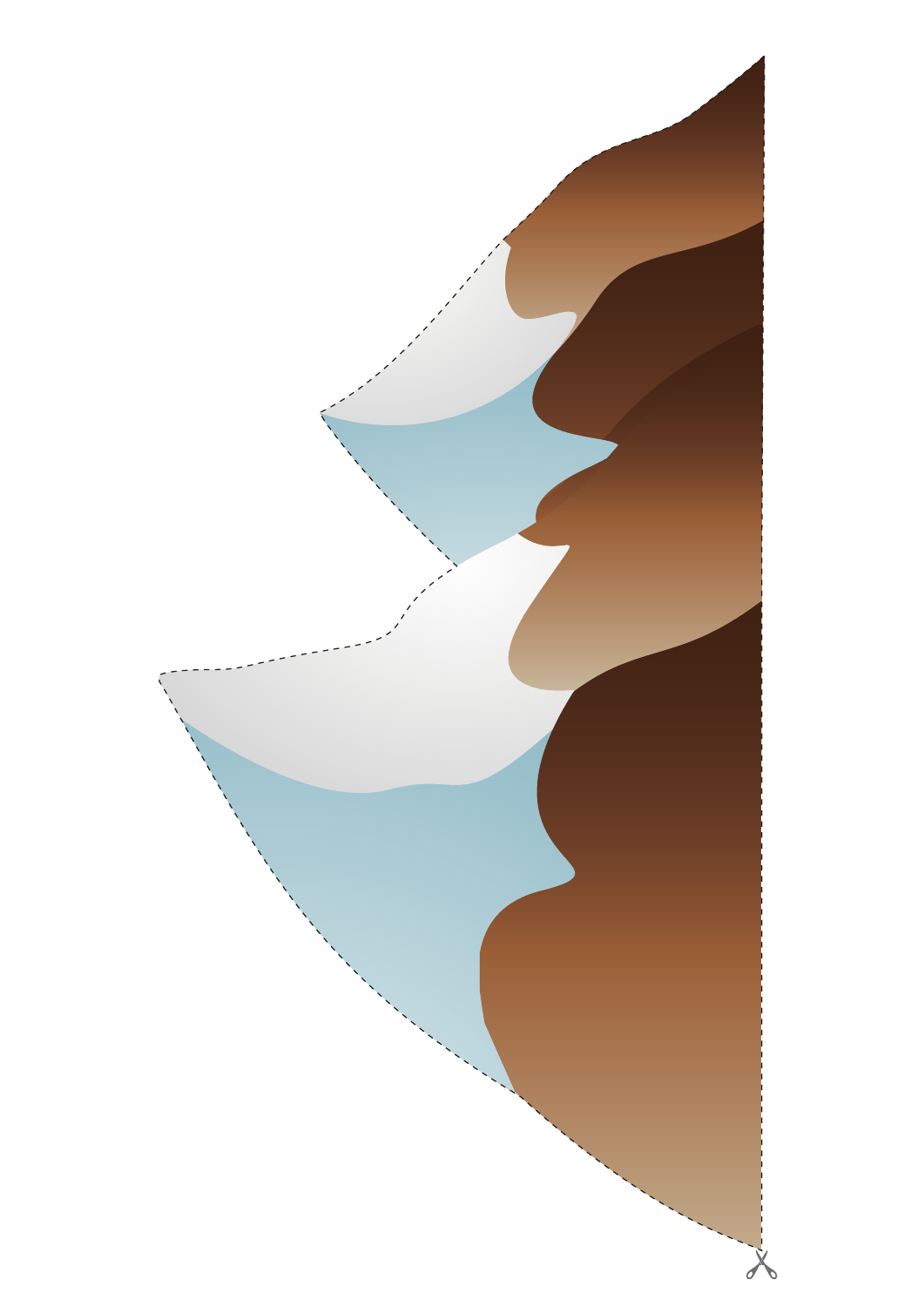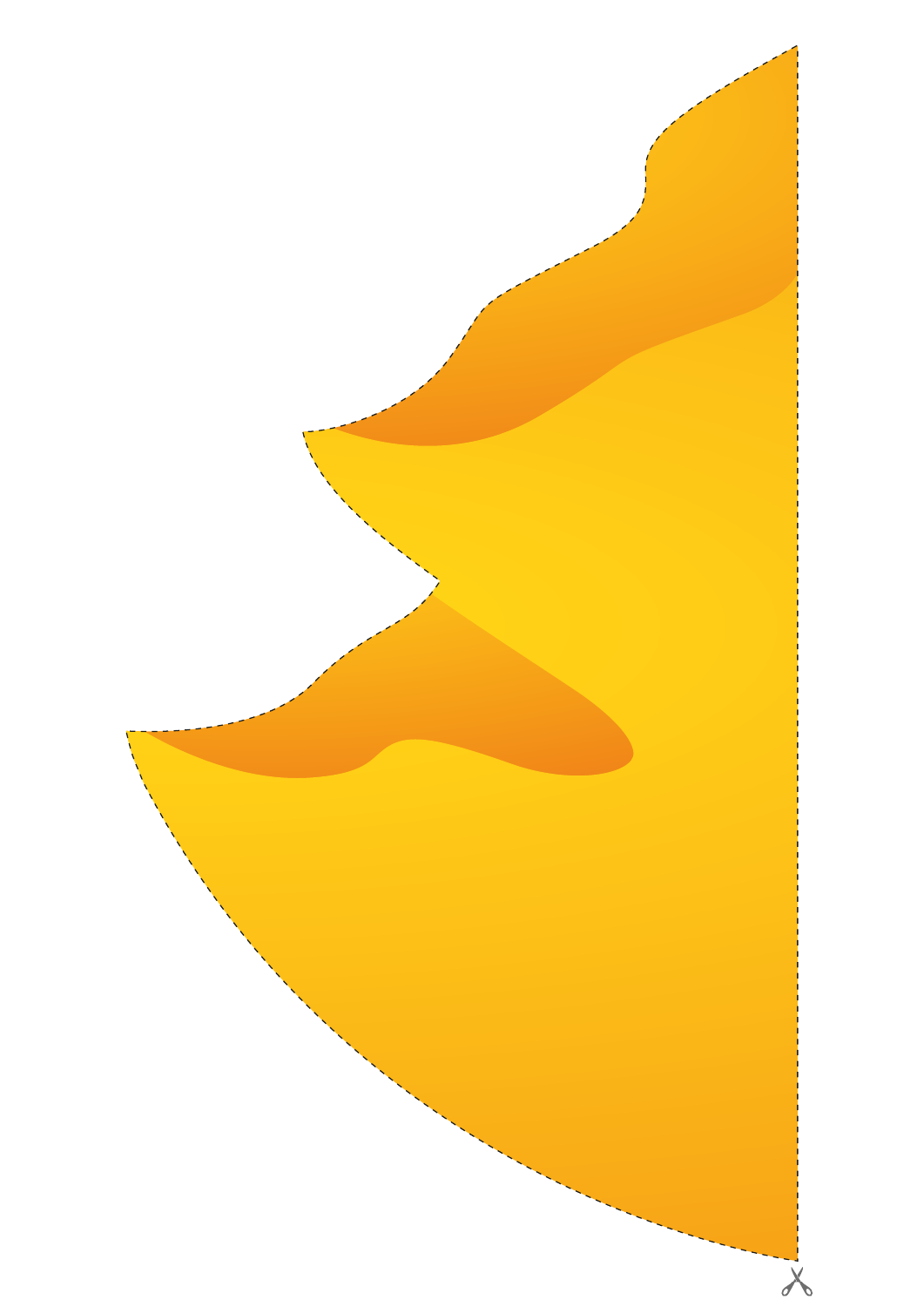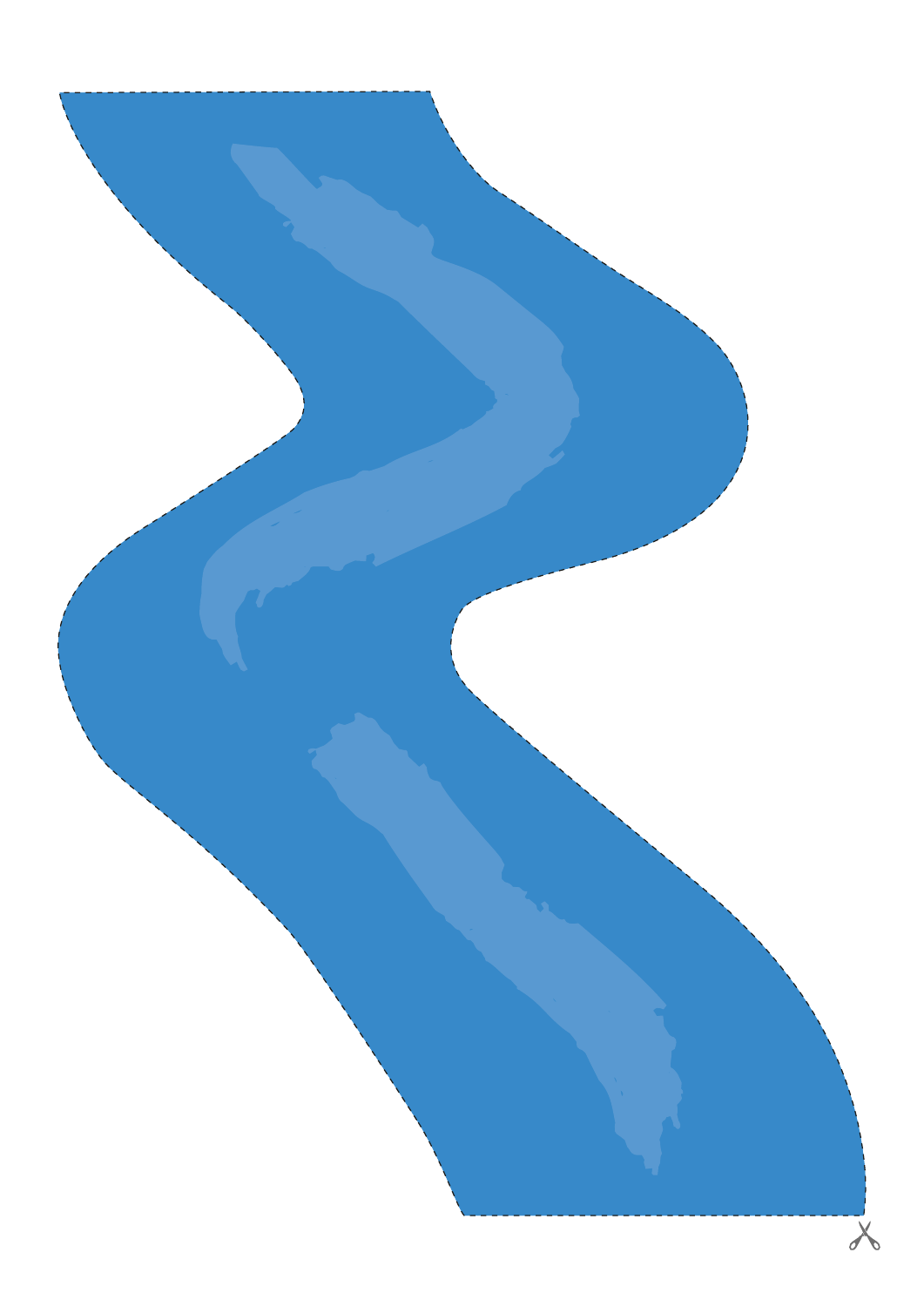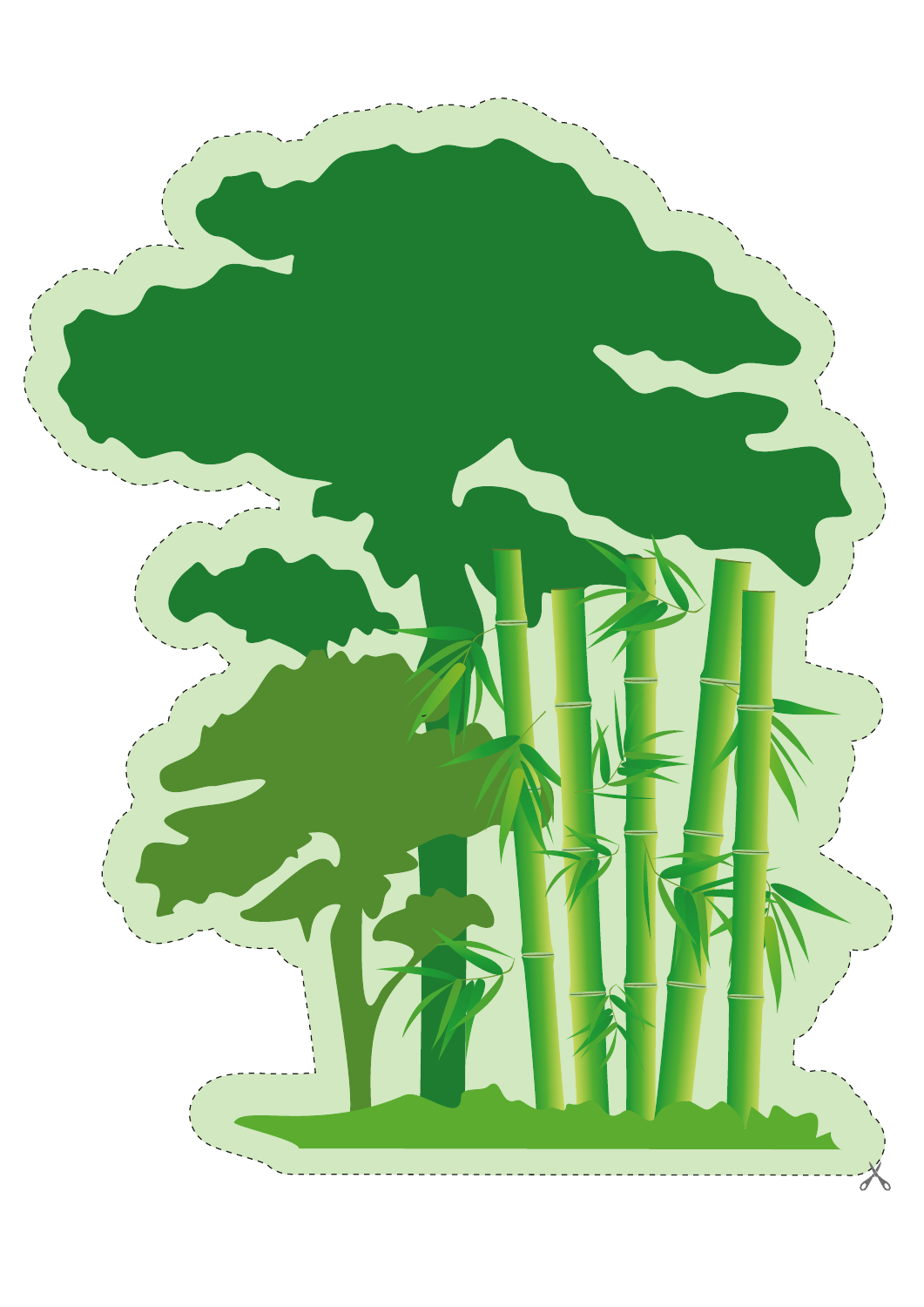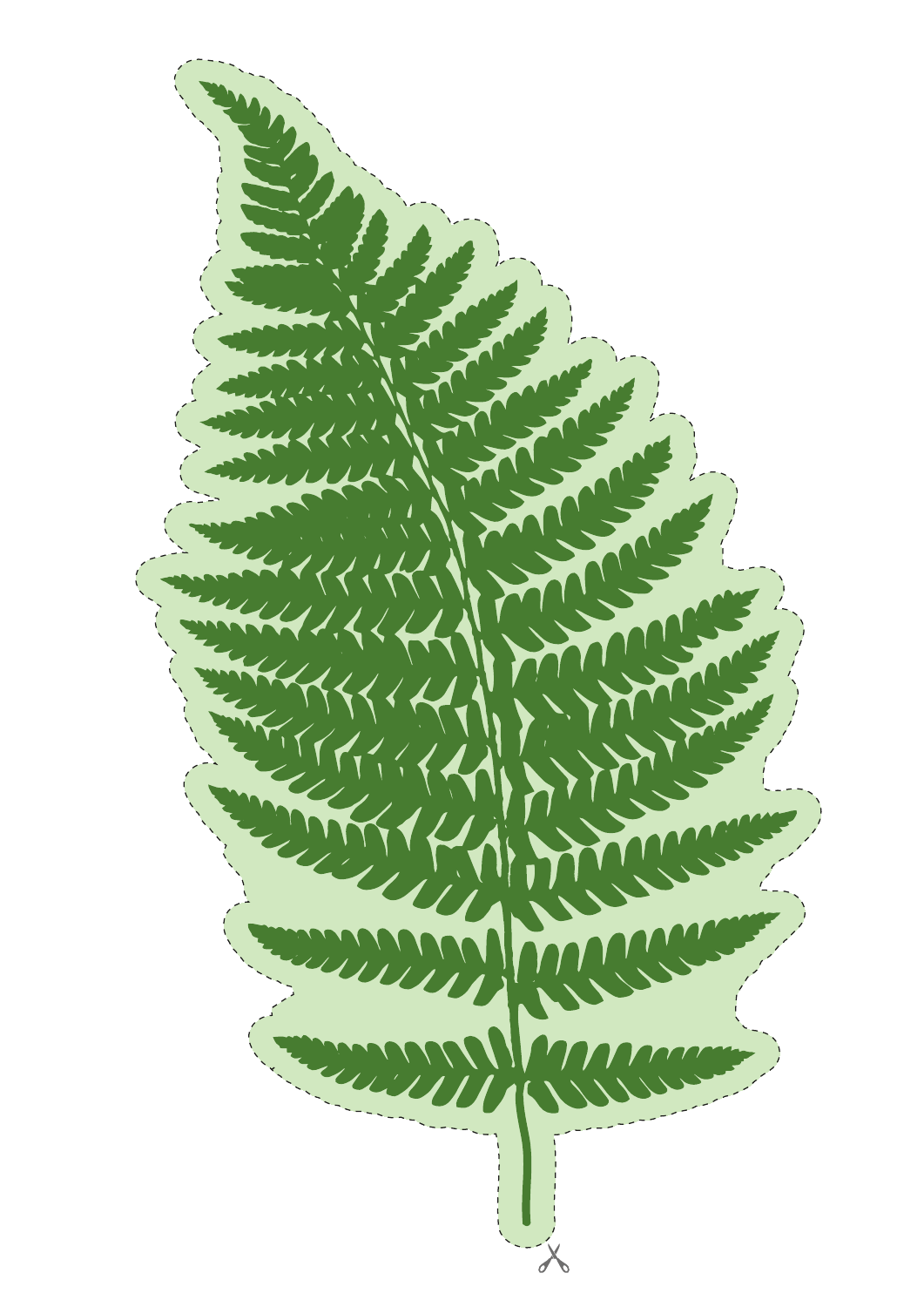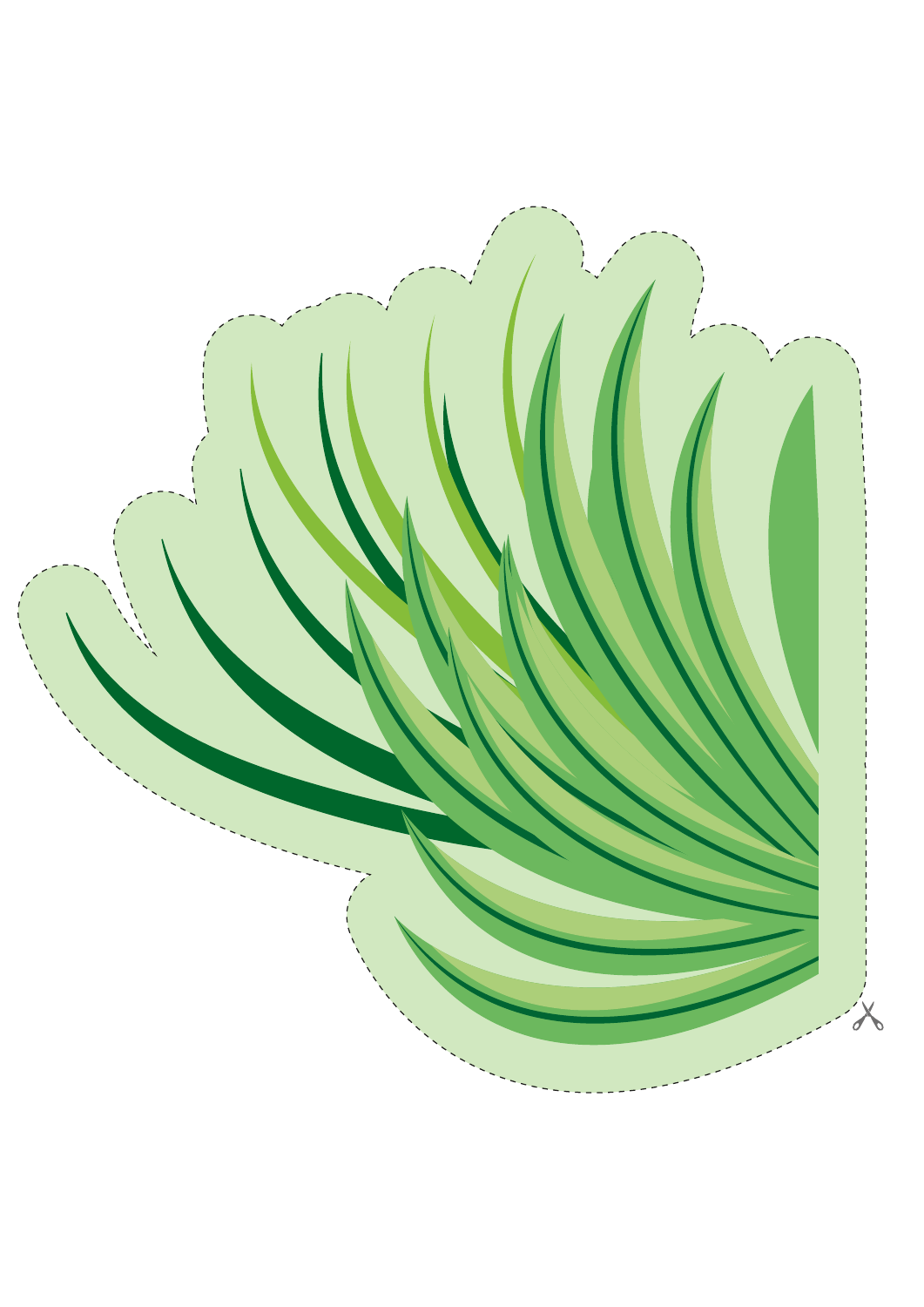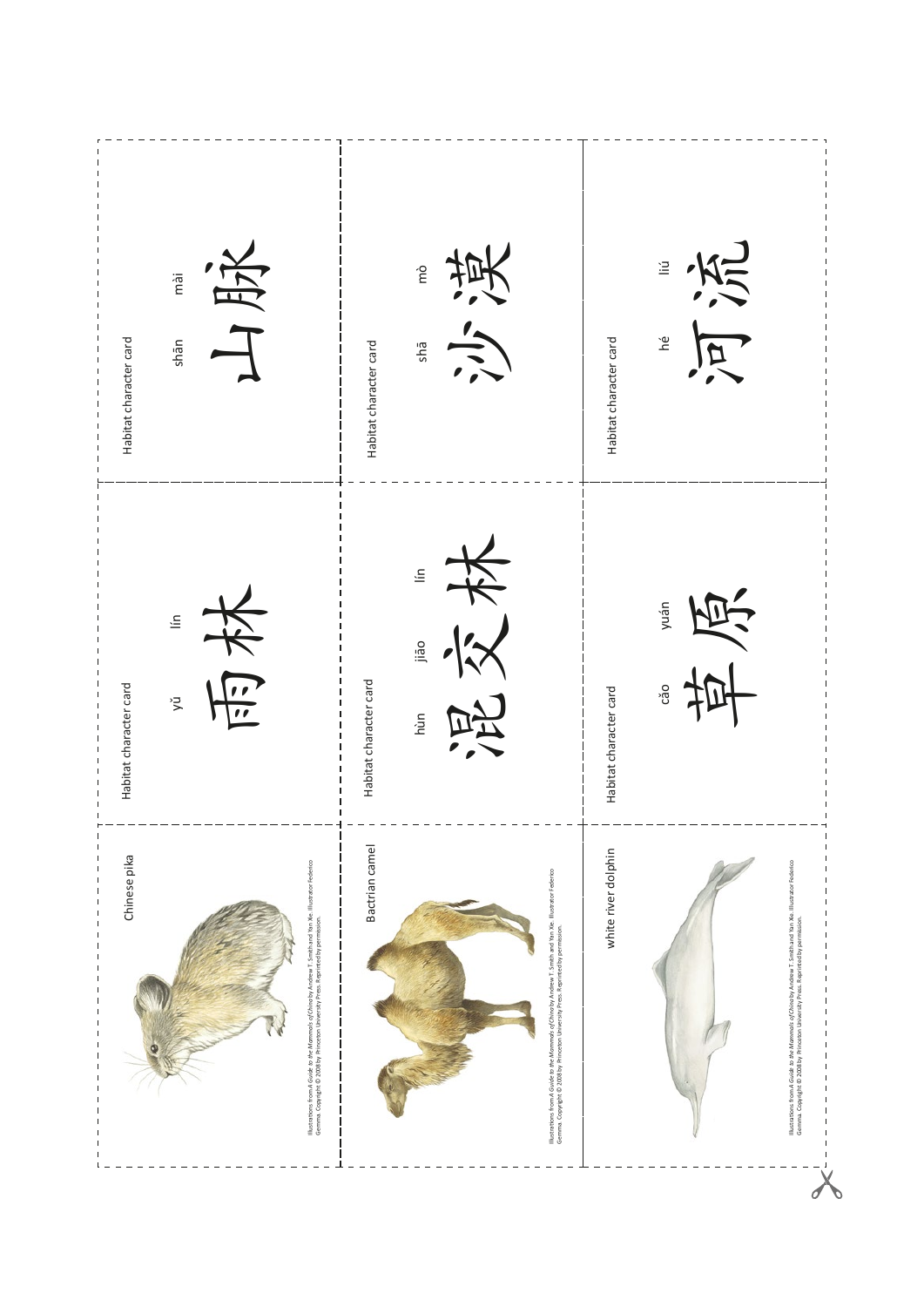



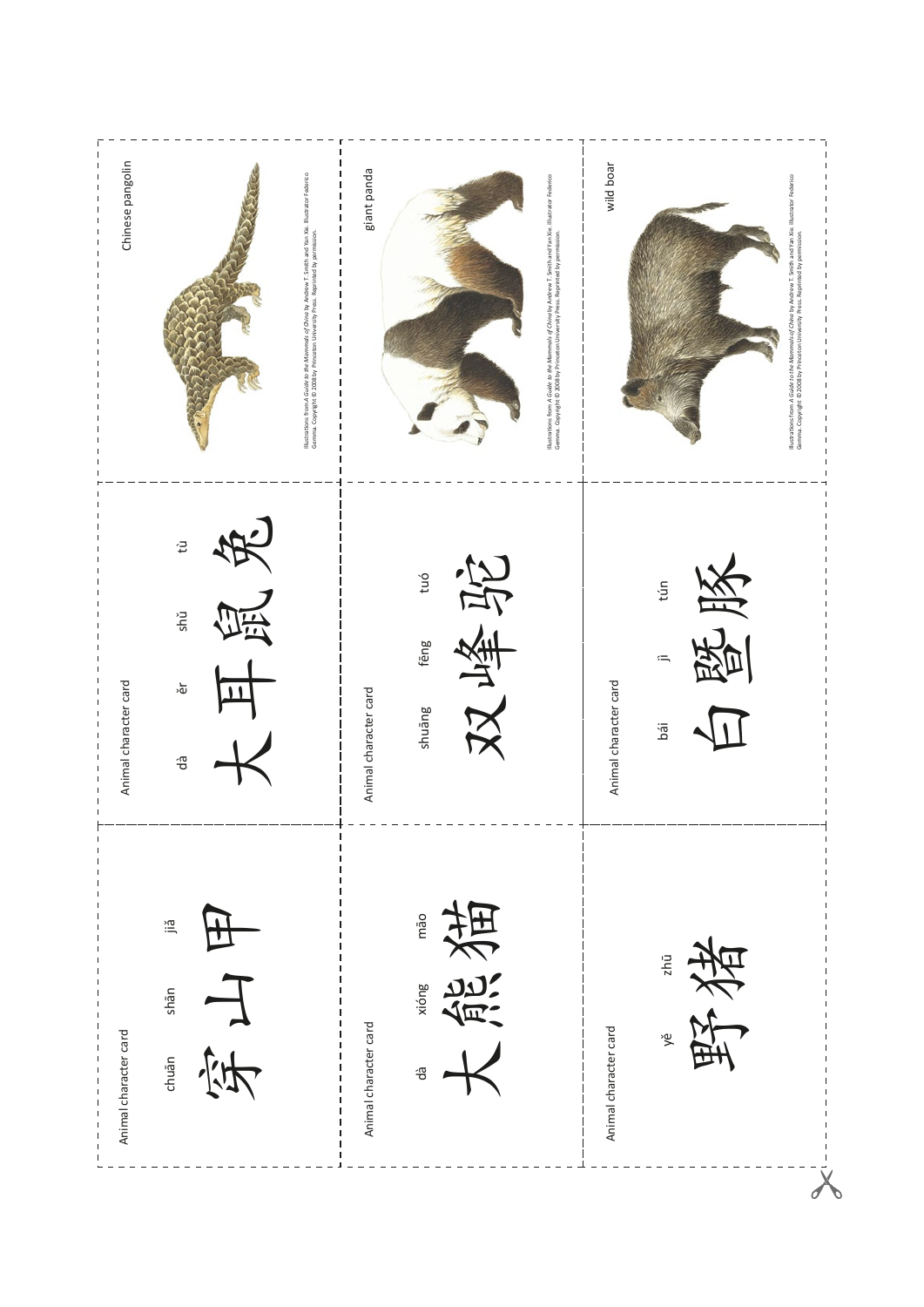